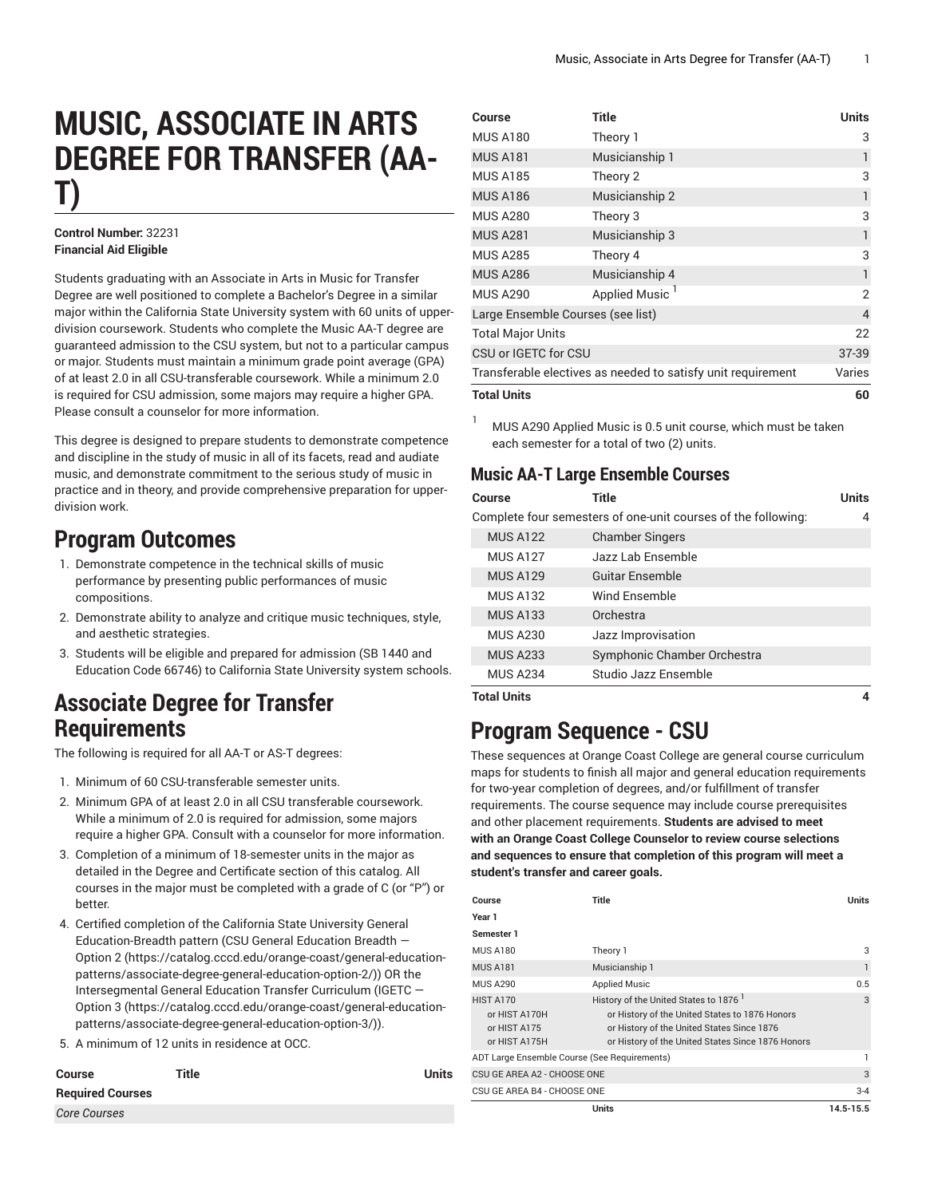# **MUSIC, ASSOCIATE IN ARTS DEGREE FOR TRANSFER (AA-T)**

#### **Control Number:** 32231 **Financial Aid Eligible**

Students graduating with an Associate in Arts in Music for Transfer Degree are well positioned to complete a Bachelor's Degree in a similar major within the California State University system with 60 units of upperdivision coursework. Students who complete the Music AA-T degree are guaranteed admission to the CSU system, but not to a particular campus or major. Students must maintain a minimum grade point average (GPA) of at least 2.0 in all CSU-transferable coursework. While a minimum 2.0 is required for CSU admission, some majors may require a higher GPA. Please consult a counselor for more information.

This degree is designed to prepare students to demonstrate competence and discipline in the study of music in all of its facets, read and audiate music, and demonstrate commitment to the serious study of music in practice and in theory, and provide comprehensive preparation for upperdivision work.

### **Program Outcomes**

- 1. Demonstrate competence in the technical skills of music performance by presenting public performances of music compositions.
- 2. Demonstrate ability to analyze and critique music techniques, style, and aesthetic strategies.
- 3. Students will be eligible and prepared for admission (SB 1440 and Education Code 66746) to California State University system schools.

#### **Associate Degree for Transfer Requirements**

The following is required for all AA-T or AS-T degrees:

- 1. Minimum of 60 CSU-transferable semester units.
- 2. Minimum GPA of at least 2.0 in all CSU transferable coursework. While a minimum of 2.0 is required for admission, some majors require a higher GPA. Consult with a counselor for more information.
- 3. Completion of a minimum of 18-semester units in the major as detailed in the Degree and Certificate section of this catalog. All courses in the major must be completed with a grade of C (or "P") or better.
- 4. Certified completion of the California State University General Education-Breadth pattern (CSU General [Education](https://catalog.cccd.edu/orange-coast/general-education-patterns/associate-degree-general-education-option-2/) Breadth — [Option 2](https://catalog.cccd.edu/orange-coast/general-education-patterns/associate-degree-general-education-option-2/) ([https://catalog.cccd.edu/orange-coast/general-education](https://catalog.cccd.edu/orange-coast/general-education-patterns/associate-degree-general-education-option-2/)[patterns/associate-degree-general-education-option-2/\)](https://catalog.cccd.edu/orange-coast/general-education-patterns/associate-degree-general-education-option-2/)) OR the Intersegmental General Education Transfer Curriculum [\(IGETC](https://catalog.cccd.edu/orange-coast/general-education-patterns/associate-degree-general-education-option-3/) — [Option 3](https://catalog.cccd.edu/orange-coast/general-education-patterns/associate-degree-general-education-option-3/) ([https://catalog.cccd.edu/orange-coast/general-education](https://catalog.cccd.edu/orange-coast/general-education-patterns/associate-degree-general-education-option-3/)[patterns/associate-degree-general-education-option-3/\)](https://catalog.cccd.edu/orange-coast/general-education-patterns/associate-degree-general-education-option-3/)).
- 5. A minimum of 12 units in residence at OCC.

| <b>Course</b>           | Title | <b>Units</b> |
|-------------------------|-------|--------------|
| <b>Required Courses</b> |       |              |
| <b>Core Courses</b>     |       |              |

| Course                                                       | <b>Title</b>               | <b>Units</b>   |
|--------------------------------------------------------------|----------------------------|----------------|
| <b>MUS A180</b>                                              | Theory 1                   | 3              |
| <b>MUS A181</b>                                              | Musicianship 1             | 1              |
| <b>MUS A185</b>                                              | Theory 2                   | 3              |
| <b>MUS A186</b>                                              | Musicianship 2             | 1              |
| <b>MUS A280</b>                                              | Theory 3                   | 3              |
| <b>MUS A281</b>                                              | Musicianship 3             | 1              |
| <b>MUS A285</b>                                              | Theory 4                   | 3              |
| <b>MUS A286</b>                                              | Musicianship 4             | 1              |
| <b>MUS A290</b>                                              | Applied Music <sup>1</sup> | $\overline{2}$ |
| Large Ensemble Courses (see list)                            |                            | $\overline{4}$ |
| <b>Total Major Units</b>                                     |                            | 22             |
| CSU or IGETC for CSU                                         |                            | $37 - 39$      |
| Transferable electives as needed to satisfy unit requirement |                            | Varies         |
| <b>Total Units</b>                                           |                            | 60             |

<sup>1</sup> MUS A290 Applied Music is 0.5 unit course, which must be taken each semester for a total of two (2) units.

#### **Music AA-T Large Ensemble Courses**

| Course             | Title                                                         | <b>Units</b> |
|--------------------|---------------------------------------------------------------|--------------|
|                    | Complete four semesters of one-unit courses of the following: | 4            |
| <b>MUS A122</b>    | <b>Chamber Singers</b>                                        |              |
| <b>MUS A127</b>    | Jazz Lab Ensemble                                             |              |
| <b>MUS A129</b>    | Guitar Ensemble                                               |              |
| <b>MUS A132</b>    | Wind Ensemble                                                 |              |
| <b>MUS A133</b>    | Orchestra                                                     |              |
| <b>MUS A230</b>    | Jazz Improvisation                                            |              |
| <b>MUS A233</b>    | Symphonic Chamber Orchestra                                   |              |
| <b>MUS A234</b>    | Studio Jazz Ensemble                                          |              |
| <b>Total Units</b> |                                                               |              |

## **Program Sequence - CSU**

These sequences at Orange Coast College are general course curriculum maps for students to finish all major and general education requirements for two-year completion of degrees, and/or fulfillment of transfer requirements. The course sequence may include course prerequisites and other placement requirements. **Students are advised to meet with an Orange Coast College Counselor to review course selections and sequences to ensure that completion of this program will meet a student's transfer and career goals.**

| Course                                                                      | Title                                                                                                                                                                                     | Units     |
|-----------------------------------------------------------------------------|-------------------------------------------------------------------------------------------------------------------------------------------------------------------------------------------|-----------|
| Year 1                                                                      |                                                                                                                                                                                           |           |
| Semester 1                                                                  |                                                                                                                                                                                           |           |
| <b>MUS A180</b>                                                             | Theory 1                                                                                                                                                                                  | 3         |
| <b>MUS A181</b>                                                             | Musicianship 1                                                                                                                                                                            | 1         |
| <b>MUS A290</b>                                                             | <b>Applied Music</b>                                                                                                                                                                      | 0.5       |
| <b>HIST A170</b><br>or HIST A170H<br>or HIST A175<br>or HIST A175H          | History of the United States to 1876<br>or History of the United States to 1876 Honors<br>or History of the United States Since 1876<br>or History of the United States Since 1876 Honors | 3         |
| ADT Large Ensemble Course (See Requirements)<br>CSU GE AREA A2 - CHOOSE ONE |                                                                                                                                                                                           | 3         |
|                                                                             |                                                                                                                                                                                           |           |
|                                                                             | <b>Units</b>                                                                                                                                                                              | 14.5-15.5 |